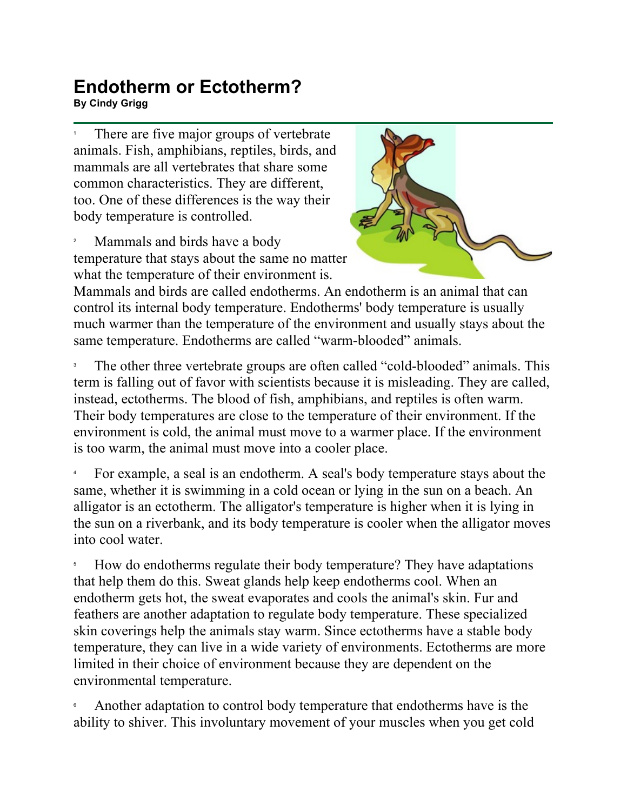## **Endotherm or Ectotherm? By Cindy Grigg**<br>By Cindy Grigg

1 There are five major groups of vertebrate animals. Fish, amphibians, reptiles, birds, and mammals are all vertebrates that share some common characteristics. They are different, too. One of these differences is the way their body temperature is controlled.

2 Mammals and birds have a body temperature that stays about the same no matter what the temperature of their environment is.



Mammals and birds are called endotherms. An endotherm is an animal that can control its internal body temperature. Endotherms' body temperature is usually much warmer than the temperature of the environment and usually stays about the same temperature. Endotherms are called "warm-blooded" animals.

3 The other three vertebrate groups are often called "cold-blooded" animals. This term is falling out of favor with scientists because it is misleading. They are called, instead, ectotherms. The blood of fish, amphibians, and reptiles is often warm. Their body temperatures are close to the temperature of their environment. If the environment is cold, the animal must move to a warmer place. If the environment is too warm, the animal must move into a cooler place.

4 For example, a seal is an endotherm. A seal's body temperature stays about the same, whether it is swimming in a cold ocean or lying in the sun on a beach. An alligator is an ectotherm. The alligator's temperature is higher when it is lying in the sun on a riverbank, and its body temperature is cooler when the alligator moves into cool water.

5 How do endotherms regulate their body temperature? They have adaptations that help them do this. Sweat glands help keep endotherms cool. When an endotherm gets hot, the sweat evaporates and cools the animal's skin. Fur and feathers are another adaptation to regulate body temperature. These specialized skin coverings help the animals stay warm. Since ectotherms have a stable body temperature, they can live in a wide variety of environments. Ectotherms are more limited in their choice of environment because they are dependent on the environmental temperature.

6 Another adaptation to control body temperature that endotherms have is the ability to shiver. This involuntary movement of your muscles when you get cold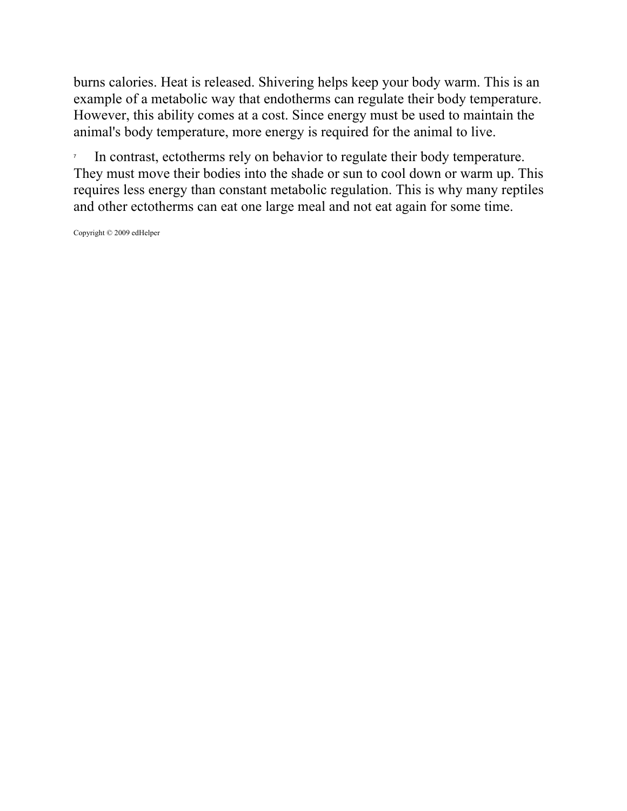burns calories. Heat is released. Shivering helps keep your body warm. This is an example of a metabolic way that endotherms can regulate their body temperature. However, this ability comes at a cost. Since energy must be used to maintain the animal's body temperature, more energy is required for the animal to live.

7 In contrast, ectotherms rely on behavior to regulate their body temperature. They must move their bodies into the shade or sun to cool down or warm up. This requires less energy than constant metabolic regulation. This is why many reptiles and other ectotherms can eat one large meal and not eat again for some time.

Copyright © 2009 edHelper